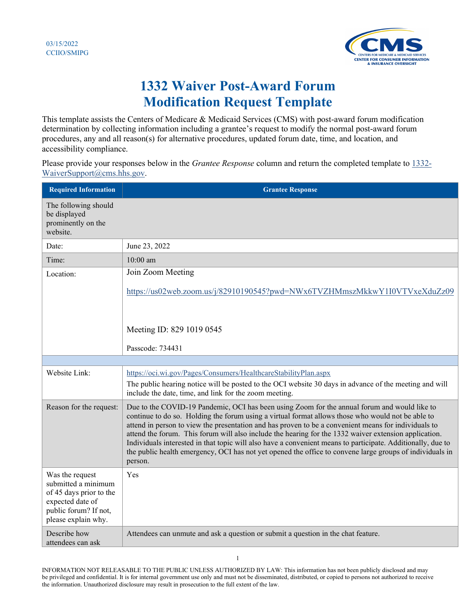

## **1332 Waiver Post-Award Forum Modification Request Template**

This template assists the Centers of Medicare & Medicaid Services (CMS) with post-award forum modification determination by collecting information including a grantee's request to modify the normal post-award forum procedures, any and all reason(s) for alternative procedures, updated forum date, time, and location, and accessibility compliance.

Please provide your responses below in the *Grantee Response* column and return the completed template to [1332-](mailto:1332-WaiverSupport@cms.hhs.gov) [WaiverSupport@cms.hhs.gov.](mailto:1332-WaiverSupport@cms.hhs.gov)

| <b>Required Information</b>                                                                                                           | <b>Grantee Response</b>                                                                                                                                                                                                                                                                                                                                                                                                                                                                                                                                                                                                                                  |
|---------------------------------------------------------------------------------------------------------------------------------------|----------------------------------------------------------------------------------------------------------------------------------------------------------------------------------------------------------------------------------------------------------------------------------------------------------------------------------------------------------------------------------------------------------------------------------------------------------------------------------------------------------------------------------------------------------------------------------------------------------------------------------------------------------|
| The following should<br>be displayed<br>prominently on the<br>website.                                                                |                                                                                                                                                                                                                                                                                                                                                                                                                                                                                                                                                                                                                                                          |
| Date:                                                                                                                                 | June 23, 2022                                                                                                                                                                                                                                                                                                                                                                                                                                                                                                                                                                                                                                            |
| Time:                                                                                                                                 | $10:00$ am                                                                                                                                                                                                                                                                                                                                                                                                                                                                                                                                                                                                                                               |
| Location:                                                                                                                             | Join Zoom Meeting                                                                                                                                                                                                                                                                                                                                                                                                                                                                                                                                                                                                                                        |
|                                                                                                                                       | https://us02web.zoom.us/j/82910190545?pwd=NWx6TVZHMmszMkkwY1I0VTVxeXduZz09                                                                                                                                                                                                                                                                                                                                                                                                                                                                                                                                                                               |
|                                                                                                                                       | Meeting ID: 829 1019 0545                                                                                                                                                                                                                                                                                                                                                                                                                                                                                                                                                                                                                                |
|                                                                                                                                       | Passcode: 734431                                                                                                                                                                                                                                                                                                                                                                                                                                                                                                                                                                                                                                         |
|                                                                                                                                       |                                                                                                                                                                                                                                                                                                                                                                                                                                                                                                                                                                                                                                                          |
| Website Link:                                                                                                                         | https://oci.wi.gov/Pages/Consumers/HealthcareStabilityPlan.aspx<br>The public hearing notice will be posted to the OCI website 30 days in advance of the meeting and will<br>include the date, time, and link for the zoom meeting.                                                                                                                                                                                                                                                                                                                                                                                                                      |
| Reason for the request:                                                                                                               | Due to the COVID-19 Pandemic, OCI has been using Zoom for the annual forum and would like to<br>continue to do so. Holding the forum using a virtual format allows those who would not be able to<br>attend in person to view the presentation and has proven to be a convenient means for individuals to<br>attend the forum. This forum will also include the hearing for the 1332 waiver extension application.<br>Individuals interested in that topic will also have a convenient means to participate. Additionally, due to<br>the public health emergency, OCI has not yet opened the office to convene large groups of individuals in<br>person. |
| Was the request<br>submitted a minimum<br>of 45 days prior to the<br>expected date of<br>public forum? If not,<br>please explain why. | Yes                                                                                                                                                                                                                                                                                                                                                                                                                                                                                                                                                                                                                                                      |
| Describe how<br>attendees can ask                                                                                                     | Attendees can unmute and ask a question or submit a question in the chat feature.                                                                                                                                                                                                                                                                                                                                                                                                                                                                                                                                                                        |

INFORMATION NOT RELEASABLE TO THE PUBLIC UNLESS AUTHORIZED BY LAW: This information has not been publicly disclosed and may be privileged and confidential. It is for internal government use only and must not be disseminated, distributed, or copied to persons not authorized to receive the information. Unauthorized disclosure may result in prosecution to the full extent of the law.